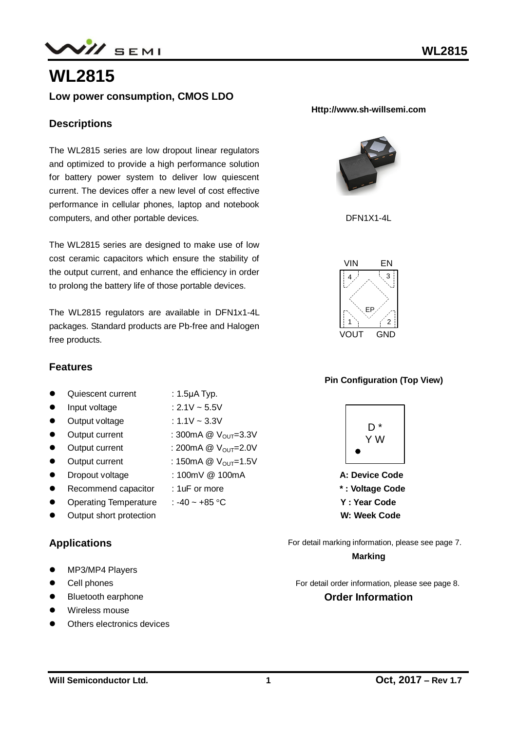

# **WL2815**

## **Low power consumption, CMOS LDO**

### **Descriptions**

The WL2815 series are low dropout linear regulators and optimized to provide a high performance solution for battery power system to deliver low quiescent current. The devices offer a new level of cost effective performance in cellular phones, laptop and notebook computers, and other portable devices.

The WL2815 series are designed to make use of low cost ceramic capacitors which ensure the stability of the output current, and enhance the efficiency in order to prolong the battery life of those portable devices.

The WL2815 regulators are available in DFN1x1-4L packages. Standard products are Pb-free and Halogen free products.

### **Features**

- Quiescent current : 1.5µA Typ.
- 
- Input voltage  $: 2.1V \sim 5.5V$
- $\bullet$  Output voltage : 1.1V ~ 3.3V
- $\bullet$  Output current : 300mA @  $V_{\text{OUT}}=3.3V$
- $\bullet$  Output current : 200mA @  $V_{\text{OUT}}=2.0V$
- $\bullet$  Output current : 150mA @  $V_{\text{OUT}}=1.5V$
- Dropout voltage : 100mV @ 100mA
- Recommend capacitor : 1uF or more
- Operating Temperature : -40 ~ +85  $\degree$ C
- Output short protection

### **Applications**

- MP3/MP4 Players
- **•** Cell phones
- Bluetooth earphone
- Wireless mouse
- Others electronics devices

#### **Http://www.sh-willsemi.com**



DFN1X1-4L



#### **Pin Configuration (Top View)**



 **\* : Voltage Code Y : Year Code**

 **W: Week Code**

For detail marking information, please see page 7. **Marking**

For detail order information, please see page 8.

#### **Order Information**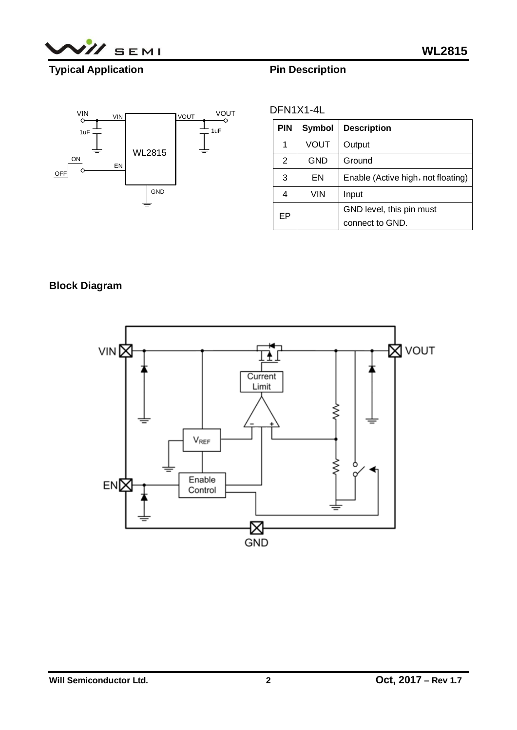

# **Typical Application**





| DFN1X1-4L |
|-----------|
|           |

| <b>PIN</b> | Symbol     | <b>Description</b>                 |
|------------|------------|------------------------------------|
| 1          | VOUT       | Output                             |
| 2          | GND        | Ground                             |
| 3          | ΕN         | Enable (Active high, not floating) |
| 4          | <b>VIN</b> | Input                              |
| EP         |            | GND level, this pin must           |
|            |            | connect to GND.                    |

# **Block Diagram**

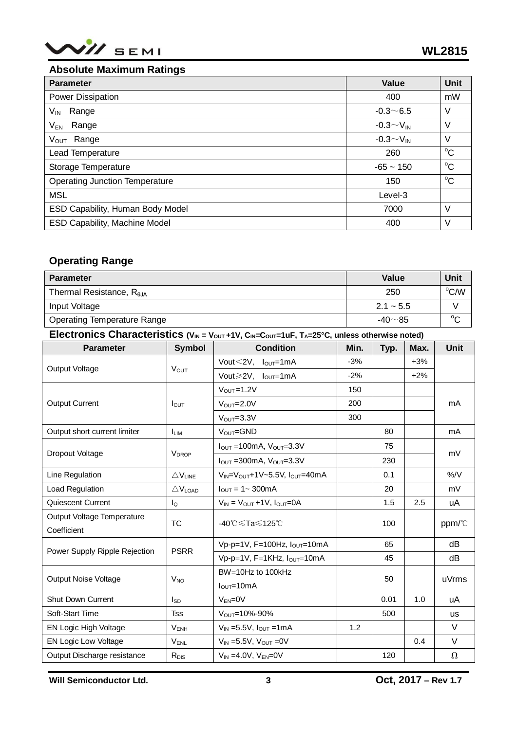

### **Absolute Maximum Ratings**

| <b>Parameter</b>                      | <b>Value</b>       | Unit        |
|---------------------------------------|--------------------|-------------|
| Power Dissipation                     | 400                | mW          |
| $V_{\sf IN}$<br>Range                 | $-0.3 - 6.5$       | V           |
| $\mathsf{V}_{\mathsf{EN}}$<br>Range   | $-0.3 \sim V_{IN}$ | ٧           |
| Range<br>V <sub>out</sub>             | $-0.3 \sim V_{IN}$ | V           |
| Lead Temperature                      | 260                | $^{\circ}C$ |
| Storage Temperature                   | $-65 - 150$        | $^{\circ}C$ |
| <b>Operating Junction Temperature</b> | 150                | $^{\circ}C$ |
| <b>MSL</b>                            | Level-3            |             |
| ESD Capability, Human Body Model      | 7000               | V           |
| <b>ESD Capability, Machine Model</b>  | 400                | ٧           |

### **Operating Range**

| <b>Parameter</b>                    | Value         | Unit   |
|-------------------------------------|---------------|--------|
| Thermal Resistance, $R_{\theta,IA}$ | 250           | °C/W   |
| Input Voltage                       | $2.1 - 5.5$   |        |
| <b>Operating Temperature Range</b>  | $-40 \sim 85$ | $\sim$ |

**Electronics Characteristics**  $(V_{IN} = V_{OUT} + 1V, C_{IN} = C_{OUT} = 1uF, T_A = 25°C$ **, unless otherwise noted)** 

| <b>Parameter</b>              | <b>Symbol</b>                               | <b>Condition</b>                                  | Min.  | Typ. | Max.   | <b>Unit</b> |  |
|-------------------------------|---------------------------------------------|---------------------------------------------------|-------|------|--------|-------------|--|
| Output Voltage                | <b>VOUT</b>                                 | Vout $<$ 2V, $I_{OUT}$ =1mA                       | $-3%$ |      | $+3%$  |             |  |
|                               |                                             | Vout $\geq 2V$ , $I_{\text{OUT}}=1mA$             | $-2%$ |      | $+2\%$ |             |  |
|                               | $I_{\text{OUT}}$                            | $V_{OUT} = 1.2V$                                  | 150   |      |        |             |  |
| <b>Output Current</b>         |                                             | $V_{OUT} = 2.0V$                                  | 200   |      |        | mA          |  |
|                               |                                             | $VOUT=3.3V$                                       | 300   |      |        |             |  |
| Output short current limiter  | <b>ILIM</b>                                 | $V_{OUT} = GND$                                   |       | 80   |        | mA          |  |
|                               |                                             | $I_{\text{OUT}}$ =100mA, $V_{\text{OUT}}$ =3.3V   |       | 75   |        | mV          |  |
| Dropout Voltage               | <b>V</b> <sub>DROP</sub>                    | $I_{\text{OUT}}$ =300mA, $V_{\text{OUT}}$ =3.3V   |       | 230  |        |             |  |
| Line Regulation               | $\bigtriangleup \mathsf{V}_{\mathsf{LINE}}$ | $V_{IN} = V_{OUT} + 1V - 5.5V$ , $I_{OUT} = 40mA$ |       | 0.1  |        | %/V         |  |
| Load Regulation               | $\triangle$ V <sub>LOAD</sub>               | $I_{\text{OUT}} = 1 - 300 \text{mA}$              |       | 20   |        | mV          |  |
| Quiescent Current             | lQ                                          | $V_{IN} = V_{OUT} + 1V$ , $I_{OUT} = 0A$          |       | 1.5  | 2.5    | uA          |  |
| Output Voltage Temperature    | <b>TC</b>                                   | -40℃≤Ta≤125℃                                      |       | 100  |        | ppm/°C      |  |
| Coefficient                   |                                             |                                                   |       |      |        |             |  |
| Power Supply Ripple Rejection | <b>PSRR</b>                                 | Vp-p=1V, F=100Hz, $I_{OUT}$ =10mA                 |       | 65   |        | dB          |  |
|                               |                                             | Vp-p=1V, F=1KHz, Iout=10mA                        |       | 45   |        | dB          |  |
| <b>Output Noise Voltage</b>   | $V_{NO}$                                    | BW=10Hz to 100kHz                                 |       | 50   |        | uVrms       |  |
|                               |                                             | $IOUT=10mA$                                       |       |      |        |             |  |
| Shut Down Current             | $I_{SD}$                                    | $V_{EN} = 0V$                                     |       | 0.01 | 1.0    | uA          |  |
| Soft-Start Time               | <b>Tss</b>                                  | $V_{\text{OUT}} = 10\% - 90\%$                    |       | 500  |        | <b>us</b>   |  |
| EN Logic High Voltage         | <b>VENH</b>                                 | $V_{IN} = 5.5V$ , $I_{OUT} = 1mA$                 | 1.2   |      |        | V           |  |
| EN Logic Low Voltage          | $V_{\text{ENL}}$                            | $V_{IN}$ =5.5V, $V_{OUT}$ =0V                     |       |      | 0.4    | V           |  |
| Output Discharge resistance   | $R_{DIS}$                                   | $V_{IN} = 4.0V$ , $V_{EN} = 0V$                   |       | 120  |        | $\Omega$    |  |

**Will Semiconductor Ltd. 3 Oct, 2017 – Rev 1.7**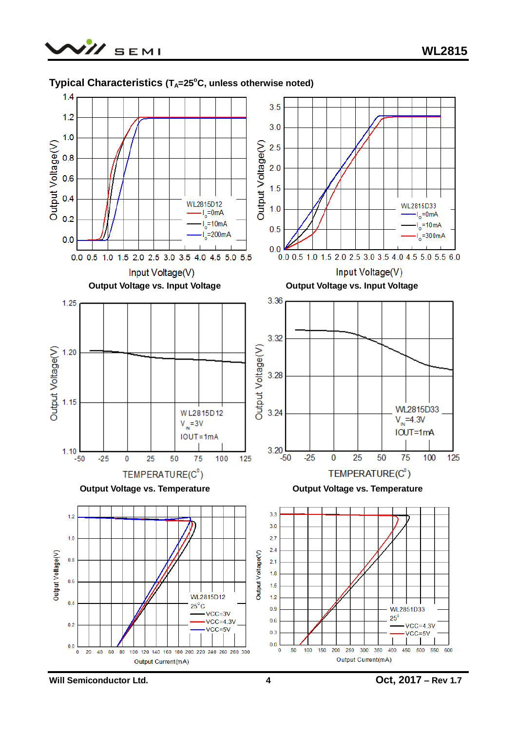



### **Typical Characteristics (TA=25<sup>o</sup>C, unless otherwise noted)**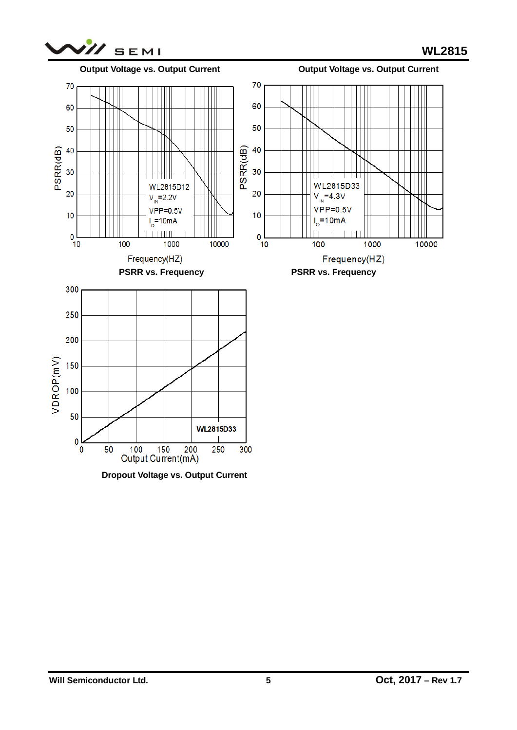



 **Dropout Voltage vs. Output Current**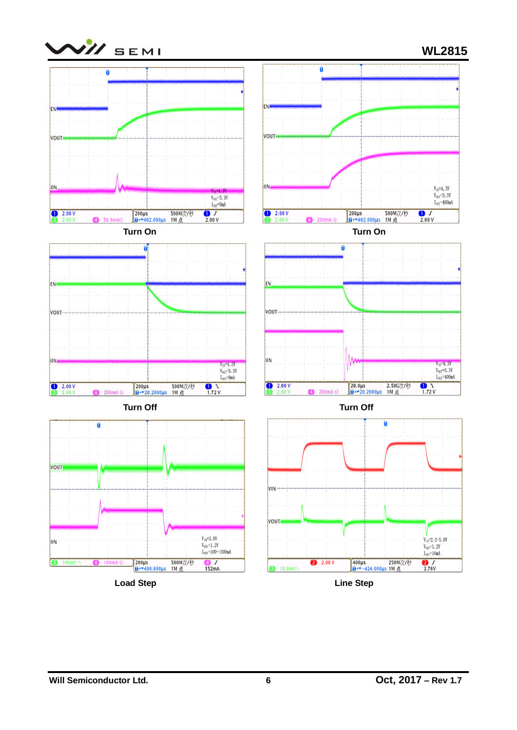

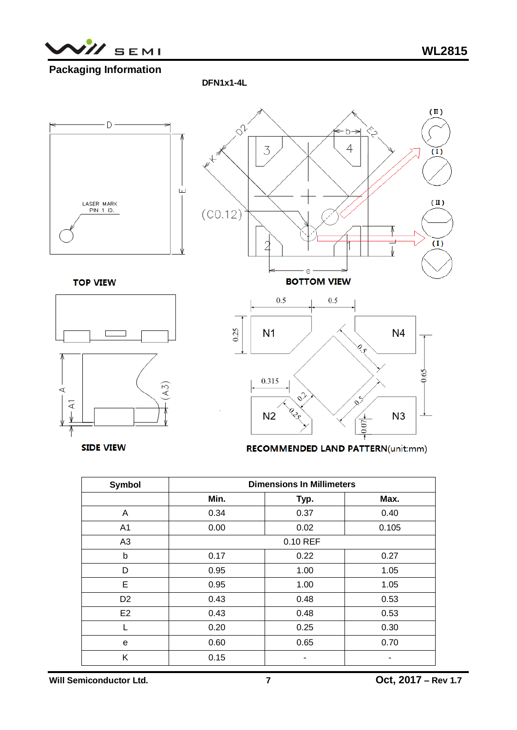

## **Packaging Information**

 **DFN1x1-4L**



**SIDE VIEW** 

**RECOMMENDED LAND PATTERN(unit:mm)** 

| <b>Symbol</b>  | <b>Dimensions In Millimeters</b> |          |       |  |  |
|----------------|----------------------------------|----------|-------|--|--|
|                | Min.                             | Typ.     | Max.  |  |  |
| A              | 0.34                             | 0.37     | 0.40  |  |  |
| A1             | 0.00                             | 0.02     | 0.105 |  |  |
| A3             |                                  | 0.10 REF |       |  |  |
| b              | 0.17                             | 0.22     | 0.27  |  |  |
| D              | 0.95                             | 1.00     | 1.05  |  |  |
| E              | 0.95                             | 1.00     | 1.05  |  |  |
| D <sub>2</sub> | 0.43                             | 0.48     | 0.53  |  |  |
| E <sub>2</sub> | 0.43                             | 0.48     | 0.53  |  |  |
|                | 0.20                             | 0.25     | 0.30  |  |  |
| е              | 0.60                             | 0.65     | 0.70  |  |  |
| Κ              | 0.15                             |          |       |  |  |